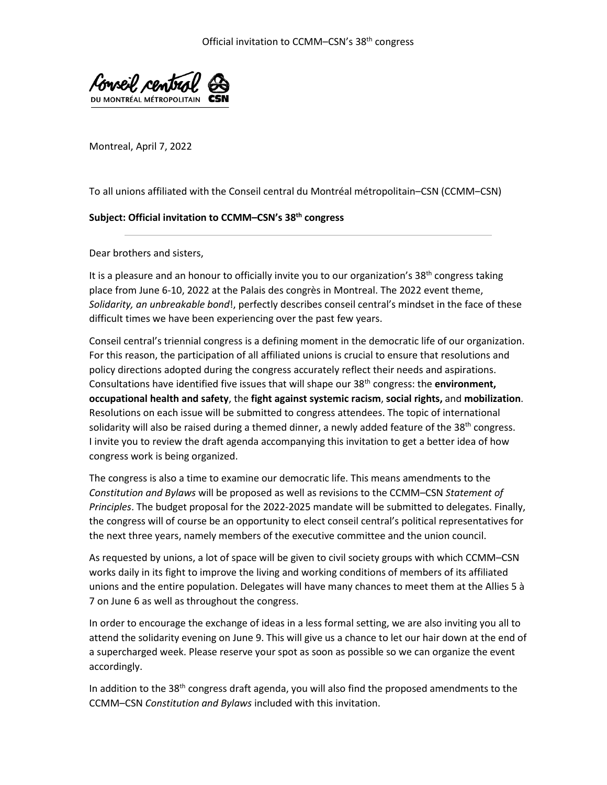

Montreal, April 7, 2022

To all unions affiliated with the Conseil central du Montréal métropolitain–CSN (CCMM–CSN)

## **Subject: Official invitation to CCMM–CSN's 38th congress**

Dear brothers and sisters,

It is a pleasure and an honour to officially invite you to our organization's 38<sup>th</sup> congress taking place from June 6-10, 2022 at the Palais des congrès in Montreal. The 2022 event theme, *Solidarity, an unbreakable bond*!, perfectly describes conseil central's mindset in the face of these difficult times we have been experiencing over the past few years.

Conseil central's triennial congress is a defining moment in the democratic life of our organization. For this reason, the participation of all affiliated unions is crucial to ensure that resolutions and policy directions adopted during the congress accurately reflect their needs and aspirations. Consultations have identified five issues that will shape our 38th congress: the **environment, occupational health and safety**, the **fight against systemic racism**, **social rights,** and **mobilization**. Resolutions on each issue will be submitted to congress attendees. The topic of international solidarity will also be raised during a themed dinner, a newly added feature of the  $38<sup>th</sup>$  congress. I invite you to review the draft agenda accompanying this invitation to get a better idea of how congress work is being organized.

The congress is also a time to examine our democratic life. This means amendments to the *Constitution and Bylaws* will be proposed as well as revisions to the CCMM–CSN *Statement of Principles*. The budget proposal for the 2022-2025 mandate will be submitted to delegates. Finally, the congress will of course be an opportunity to elect conseil central's political representatives for the next three years, namely members of the executive committee and the union council.

As requested by unions, a lot of space will be given to civil society groups with which CCMM–CSN works daily in its fight to improve the living and working conditions of members of its affiliated unions and the entire population. Delegates will have many chances to meet them at the Allies 5 à 7 on June 6 as well as throughout the congress.

In order to encourage the exchange of ideas in a less formal setting, we are also inviting you all to attend the solidarity evening on June 9. This will give us a chance to let our hair down at the end of a supercharged week. Please reserve your spot as soon as possible so we can organize the event accordingly.

In addition to the  $38<sup>th</sup>$  congress draft agenda, you will also find the proposed amendments to the CCMM–CSN *Constitution and Bylaws* included with this invitation.